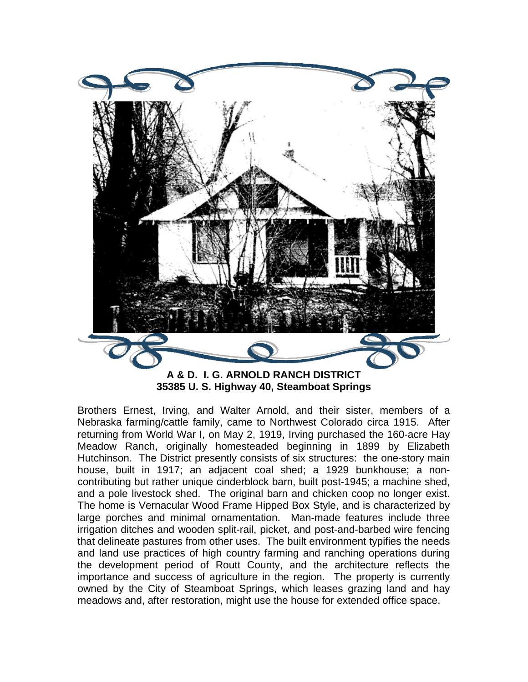

**A & D. I. G. ARNOLD RANCH DISTRICT 35385 U. S. Highway 40, Steamboat Springs** 

Brothers Ernest, Irving, and Walter Arnold, and their sister, members of a Nebraska farming/cattle family, came to Northwest Colorado circa 1915. After returning from World War I, on May 2, 1919, Irving purchased the 160-acre Hay Meadow Ranch, originally homesteaded beginning in 1899 by Elizabeth Hutchinson. The District presently consists of six structures: the one-story main house, built in 1917; an adjacent coal shed; a 1929 bunkhouse; a noncontributing but rather unique cinderblock barn, built post-1945; a machine shed, and a pole livestock shed. The original barn and chicken coop no longer exist. The home is Vernacular Wood Frame Hipped Box Style, and is characterized by large porches and minimal ornamentation. Man-made features include three irrigation ditches and wooden split-rail, picket, and post-and-barbed wire fencing that delineate pastures from other uses. The built environment typifies the needs and land use practices of high country farming and ranching operations during the development period of Routt County, and the architecture reflects the importance and success of agriculture in the region. The property is currently owned by the City of Steamboat Springs, which leases grazing land and hay meadows and, after restoration, might use the house for extended office space.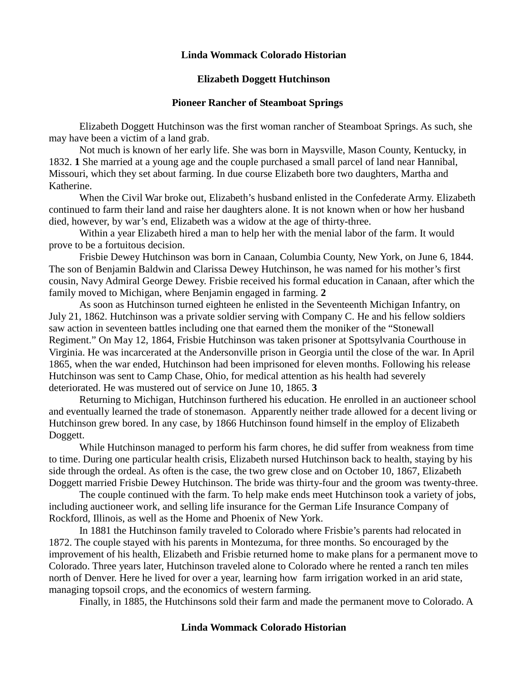#### **Elizabeth Doggett Hutchinson**

#### **Pioneer Rancher of Steamboat Springs**

Elizabeth Doggett Hutchinson was the first woman rancher of Steamboat Springs. As such, she may have been a victim of a land grab.

Not much is known of her early life. She was born in Maysville, Mason County, Kentucky, in 1832. **1** She married at a young age and the couple purchased a small parcel of land near Hannibal, Missouri, which they set about farming. In due course Elizabeth bore two daughters, Martha and Katherine.

When the Civil War broke out, Elizabeth's husband enlisted in the Confederate Army. Elizabeth continued to farm their land and raise her daughters alone. It is not known when or how her husband died, however, by war's end, Elizabeth was a widow at the age of thirty-three.

Within a year Elizabeth hired a man to help her with the menial labor of the farm. It would prove to be a fortuitous decision.

Frisbie Dewey Hutchinson was born in Canaan, Columbia County, New York, on June 6, 1844. The son of Benjamin Baldwin and Clarissa Dewey Hutchinson, he was named for his mother's first cousin, Navy Admiral George Dewey. Frisbie received his formal education in Canaan, after which the family moved to Michigan, where Benjamin engaged in farming. **2**

As soon as Hutchinson turned eighteen he enlisted in the Seventeenth Michigan Infantry, on July 21, 1862. Hutchinson was a private soldier serving with Company C. He and his fellow soldiers saw action in seventeen battles including one that earned them the moniker of the "Stonewall Regiment." On May 12, 1864, Frisbie Hutchinson was taken prisoner at Spottsylvania Courthouse in Virginia. He was incarcerated at the Andersonville prison in Georgia until the close of the war. In April 1865, when the war ended, Hutchinson had been imprisoned for eleven months. Following his release Hutchinson was sent to Camp Chase, Ohio, for medical attention as his health had severely deteriorated. He was mustered out of service on June 10, 1865. **3**

Returning to Michigan, Hutchinson furthered his education. He enrolled in an auctioneer school and eventually learned the trade of stonemason. Apparently neither trade allowed for a decent living or Hutchinson grew bored. In any case, by 1866 Hutchinson found himself in the employ of Elizabeth Doggett.

While Hutchinson managed to perform his farm chores, he did suffer from weakness from time to time. During one particular health crisis, Elizabeth nursed Hutchinson back to health, staying by his side through the ordeal. As often is the case, the two grew close and on October 10, 1867, Elizabeth Doggett married Frisbie Dewey Hutchinson. The bride was thirty-four and the groom was twenty-three.

The couple continued with the farm. To help make ends meet Hutchinson took a variety of jobs, including auctioneer work, and selling life insurance for the German Life Insurance Company of Rockford, Illinois, as well as the Home and Phoenix of New York.

In 1881 the Hutchinson family traveled to Colorado where Frisbie's parents had relocated in 1872. The couple stayed with his parents in Montezuma, for three months. So encouraged by the improvement of his health, Elizabeth and Frisbie returned home to make plans for a permanent move to Colorado. Three years later, Hutchinson traveled alone to Colorado where he rented a ranch ten miles north of Denver. Here he lived for over a year, learning how farm irrigation worked in an arid state, managing topsoil crops, and the economics of western farming.

Finally, in 1885, the Hutchinsons sold their farm and made the permanent move to Colorado. A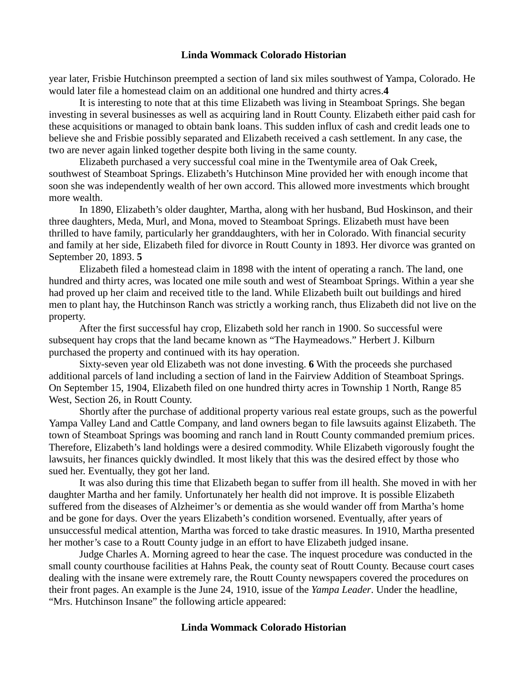year later, Frisbie Hutchinson preempted a section of land six miles southwest of Yampa, Colorado. He would later file a homestead claim on an additional one hundred and thirty acres.**4**

It is interesting to note that at this time Elizabeth was living in Steamboat Springs. She began investing in several businesses as well as acquiring land in Routt County. Elizabeth either paid cash for these acquisitions or managed to obtain bank loans. This sudden influx of cash and credit leads one to believe she and Frisbie possibly separated and Elizabeth received a cash settlement. In any case, the two are never again linked together despite both living in the same county.

Elizabeth purchased a very successful coal mine in the Twentymile area of Oak Creek, southwest of Steamboat Springs. Elizabeth's Hutchinson Mine provided her with enough income that soon she was independently wealth of her own accord. This allowed more investments which brought more wealth.

In 1890, Elizabeth's older daughter, Martha, along with her husband, Bud Hoskinson, and their three daughters, Meda, Murl, and Mona, moved to Steamboat Springs. Elizabeth must have been thrilled to have family, particularly her granddaughters, with her in Colorado. With financial security and family at her side, Elizabeth filed for divorce in Routt County in 1893. Her divorce was granted on September 20, 1893. **5**

Elizabeth filed a homestead claim in 1898 with the intent of operating a ranch. The land, one hundred and thirty acres, was located one mile south and west of Steamboat Springs. Within a year she had proved up her claim and received title to the land. While Elizabeth built out buildings and hired men to plant hay, the Hutchinson Ranch was strictly a working ranch, thus Elizabeth did not live on the property.

After the first successful hay crop, Elizabeth sold her ranch in 1900. So successful were subsequent hay crops that the land became known as "The Haymeadows." Herbert J. Kilburn purchased the property and continued with its hay operation.

Sixty-seven year old Elizabeth was not done investing. **6** With the proceeds she purchased additional parcels of land including a section of land in the Fairview Addition of Steamboat Springs. On September 15, 1904, Elizabeth filed on one hundred thirty acres in Township 1 North, Range 85 West, Section 26, in Routt County.

Shortly after the purchase of additional property various real estate groups, such as the powerful Yampa Valley Land and Cattle Company, and land owners began to file lawsuits against Elizabeth. The town of Steamboat Springs was booming and ranch land in Routt County commanded premium prices. Therefore, Elizabeth's land holdings were a desired commodity. While Elizabeth vigorously fought the lawsuits, her finances quickly dwindled. It most likely that this was the desired effect by those who sued her. Eventually, they got her land.

It was also during this time that Elizabeth began to suffer from ill health. She moved in with her daughter Martha and her family. Unfortunately her health did not improve. It is possible Elizabeth suffered from the diseases of Alzheimer's or dementia as she would wander off from Martha's home and be gone for days. Over the years Elizabeth's condition worsened. Eventually, after years of unsuccessful medical attention, Martha was forced to take drastic measures. In 1910, Martha presented her mother's case to a Routt County judge in an effort to have Elizabeth judged insane.

Judge Charles A. Morning agreed to hear the case. The inquest procedure was conducted in the small county courthouse facilities at Hahns Peak, the county seat of Routt County. Because court cases dealing with the insane were extremely rare, the Routt County newspapers covered the procedures on their front pages. An example is the June 24, 1910, issue of the *Yampa Leader*. Under the headline, "Mrs. Hutchinson Insane" the following article appeared: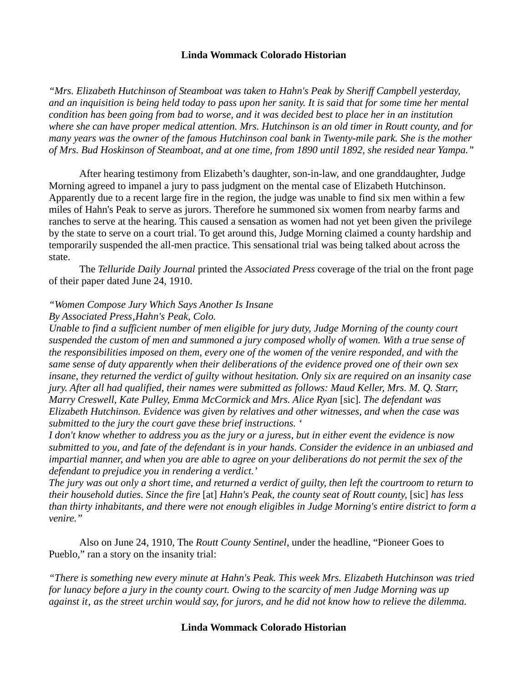*"Mrs. Elizabeth Hutchinson of Steamboat was taken to Hahn's Peak by Sheriff Campbell yesterday, and an inquisition is being held today to pass upon her sanity. It is said that for some time her mental condition has been going from bad to worse, and it was decided best to place her in an institution where she can have proper medical attention. Mrs. Hutchinson is an old timer in Routt county, and for many years was the owner of the famous Hutchinson coal bank in Twenty-mile park. She is the mother of Mrs. Bud Hoskinson of Steamboat, and at one time, from 1890 until 1892, she resided near Yampa."* 

After hearing testimony from Elizabeth's daughter, son-in-law, and one granddaughter, Judge Morning agreed to impanel a jury to pass judgment on the mental case of Elizabeth Hutchinson. Apparently due to a recent large fire in the region, the judge was unable to find six men within a few miles of Hahn's Peak to serve as jurors. Therefore he summoned six women from nearby farms and ranches to serve at the hearing. This caused a sensation as women had not yet been given the privilege by the state to serve on a court trial. To get around this, Judge Morning claimed a county hardship and temporarily suspended the all-men practice. This sensational trial was being talked about across the state.

The *Telluride Daily Journal* printed the *Associated Press* coverage of the trial on the front page of their paper dated June 24, 1910.

## *"Women Compose Jury Which Says Another Is Insane*

#### *By Associated Press'Hahn's Peak, Colo.*

*Unable to find a sufficient number of men eligible for jury duty, Judge Morning of the county court suspended the custom of men and summoned a jury composed wholly of women. With a true sense of the responsibilities imposed on them, every one of the women of the venire responded, and with the same sense of duty apparently when their deliberations of the evidence proved one of their own sex insane, they returned the verdict of guilty without hesitation. Only six are required on an insanity case jury. After all had qualified, their names were submitted as follows: Maud Keller, Mrs. M. Q. Starr, Marry Creswell, Kate Pulley, Emma McCormick and Mrs. Alice Ryan* [sic]*. The defendant was Elizabeth Hutchinson. Evidence was given by relatives and other witnesses, and when the case was submitted to the jury the court gave these brief instructions. '*

*I don't know whether to address you as the jury or a juress, but in either event the evidence is now submitted to you, and fate of the defendant is in your hands. Consider the evidence in an unbiased and impartial manner, and when you are able to agree on your deliberations do not permit the sex of the defendant to prejudice you in rendering a verdict.'* 

*The jury was out only a short time, and returned a verdict of guilty, then left the courtroom to return to their household duties. Since the fire* [at] *Hahn's Peak, the county seat of Routt county,* [sic] *has less than thirty inhabitants, and there were not enough eligibles in Judge Morning's entire district to form a venire."* 

Also on June 24, 1910, The *Routt County Sentinel*, under the headline, "Pioneer Goes to Pueblo," ran a story on the insanity trial:

*"There is something new every minute at Hahn's Peak. This week Mrs. Elizabeth Hutchinson was tried for lunacy before a jury in the county court. Owing to the scarcity of men Judge Morning was up*  against it, as the street urchin would say, for jurors, and he did not know how to relieve the dilemma.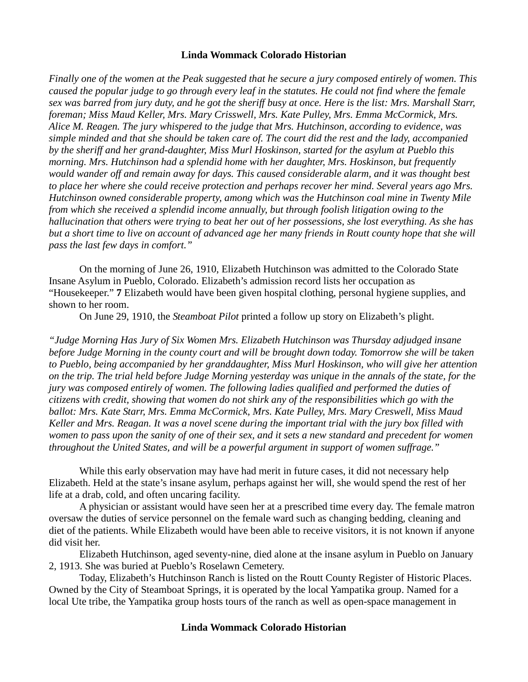*Finally one of the women at the Peak suggested that he secure a jury composed entirely of women. This caused the popular judge to go through every leaf in the statutes. He could not find where the female sex was barred from jury duty, and he got the sheriff busy at once. Here is the list: Mrs. Marshall Starr, foreman; Miss Maud Keller, Mrs. Mary Crisswell, Mrs. Kate Pulley, Mrs. Emma McCormick, Mrs. Alice M. Reagen. The jury whispered to the judge that Mrs. Hutchinson, according to evidence, was simple minded and that she should be taken care of. The court did the rest and the lady, accompanied by the sheriff and her grand-daughter, Miss Murl Hoskinson, started for the asylum at Pueblo this morning. Mrs. Hutchinson had a splendid home with her daughter, Mrs. Hoskinson, but frequently would wander off and remain away for days. This caused considerable alarm, and it was thought best to place her where she could receive protection and perhaps recover her mind. Several years ago Mrs. Hutchinson owned considerable property, among which was the Hutchinson coal mine in Twenty Mile from which she received a splendid income annually, but through foolish litigation owing to the hallucination that others were trying to beat her out of her possessions, she lost everything. As she has but a short time to live on account of advanced age her many friends in Routt county hope that she will pass the last few days in comfort."*

On the morning of June 26, 1910, Elizabeth Hutchinson was admitted to the Colorado State Insane Asylum in Pueblo, Colorado. Elizabeth's admission record lists her occupation as "Housekeeper." **7** Elizabeth would have been given hospital clothing, personal hygiene supplies, and shown to her room.

On June 29, 1910, the *Steamboat Pilot* printed a follow up story on Elizabeth's plight.

*"Judge Morning Has Jury of Six Women Mrs. Elizabeth Hutchinson was Thursday adjudged insane before Judge Morning in the county court and will be brought down today. Tomorrow she will be taken to Pueblo, being accompanied by her granddaughter, Miss Murl Hoskinson, who will give her attention on the trip. The trial held before Judge Morning yesterday was unique in the annals of the state, for the jury was composed entirely of women. The following ladies qualified and performed the duties of citizens with credit, showing that women do not shirk any of the responsibilities which go with the ballot: Mrs. Kate Starr, Mrs. Emma McCormick, Mrs. Kate Pulley, Mrs. Mary Creswell, Miss Maud Keller and Mrs. Reagan. It was a novel scene during the important trial with the jury box filled with women to pass upon the sanity of one of their sex, and it sets a new standard and precedent for women throughout the United States, and will be a powerful argument in support of women suffrage."* 

While this early observation may have had merit in future cases, it did not necessary help Elizabeth. Held at the state's insane asylum, perhaps against her will, she would spend the rest of her life at a drab, cold, and often uncaring facility.

A physician or assistant would have seen her at a prescribed time every day. The female matron oversaw the duties of service personnel on the female ward such as changing bedding, cleaning and diet of the patients. While Elizabeth would have been able to receive visitors, it is not known if anyone did visit her.

Elizabeth Hutchinson, aged seventy-nine, died alone at the insane asylum in Pueblo on January 2, 1913. She was buried at Pueblo's Roselawn Cemetery.

Today, Elizabeth's Hutchinson Ranch is listed on the Routt County Register of Historic Places. Owned by the City of Steamboat Springs, it is operated by the local Yampatika group. Named for a local Ute tribe, the Yampatika group hosts tours of the ranch as well as open-space management in